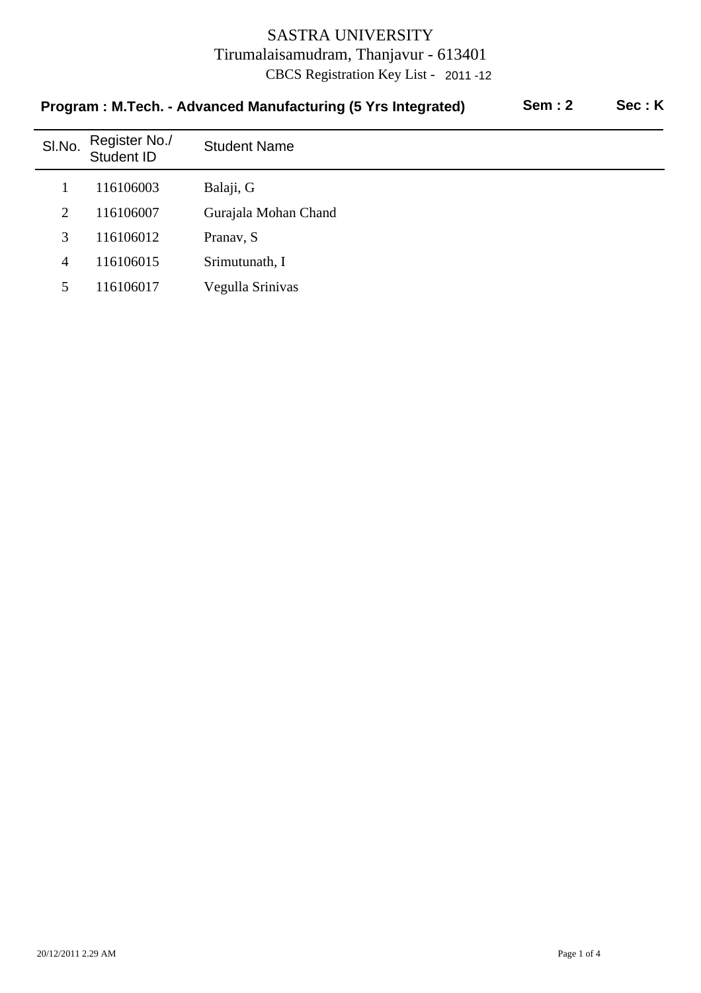| SI.No.         | Register No./<br>Student ID | <b>Student Name</b>  |
|----------------|-----------------------------|----------------------|
|                | 116106003                   | Balaji, G            |
| $\overline{2}$ | 116106007                   | Gurajala Mohan Chand |
| 3              | 116106012                   | Pranav, S            |
| 4              | 116106015                   | Srimutunath, I       |
| 5              | 116106017                   | Vegulla Srinivas     |

#### **Program : M.Tech. - Advanced Manufacturing (5 Yrs Integrated) Sem : 2 Sec : K**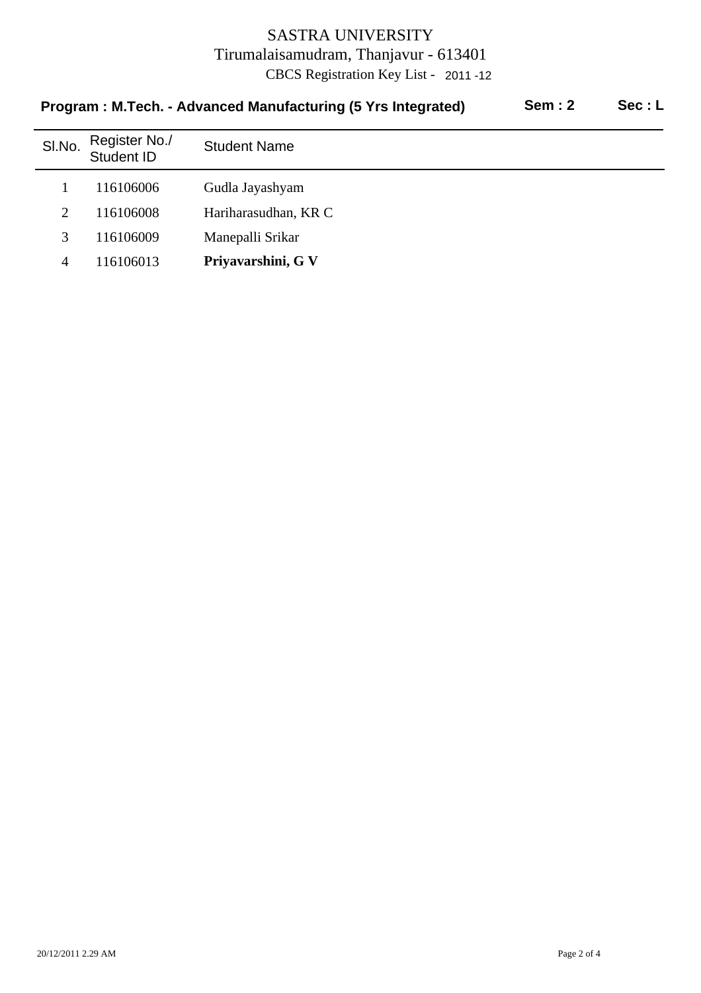| <u>1 TOGIANI - MITCULI - AUVANUCU MANUJAUGINIY (VITIS MICHIALCU)</u><br>❤❤……<br>◡◡◡ . 느 |                             |                      |  |  |  |
|-----------------------------------------------------------------------------------------|-----------------------------|----------------------|--|--|--|
| SI.No.                                                                                  | Register No./<br>Student ID | <b>Student Name</b>  |  |  |  |
|                                                                                         | 116106006                   | Gudla Jayashyam      |  |  |  |
| 2                                                                                       | 116106008                   | Hariharasudhan, KR C |  |  |  |
| 3                                                                                       | 116106009                   | Manepalli Srikar     |  |  |  |
| 4                                                                                       | 116106013                   | Priyavarshini, G V   |  |  |  |

# **Program : M.Tech. - Advanced Manufacturing (5 Yrs Integrated) Sem : 2 Sec : L**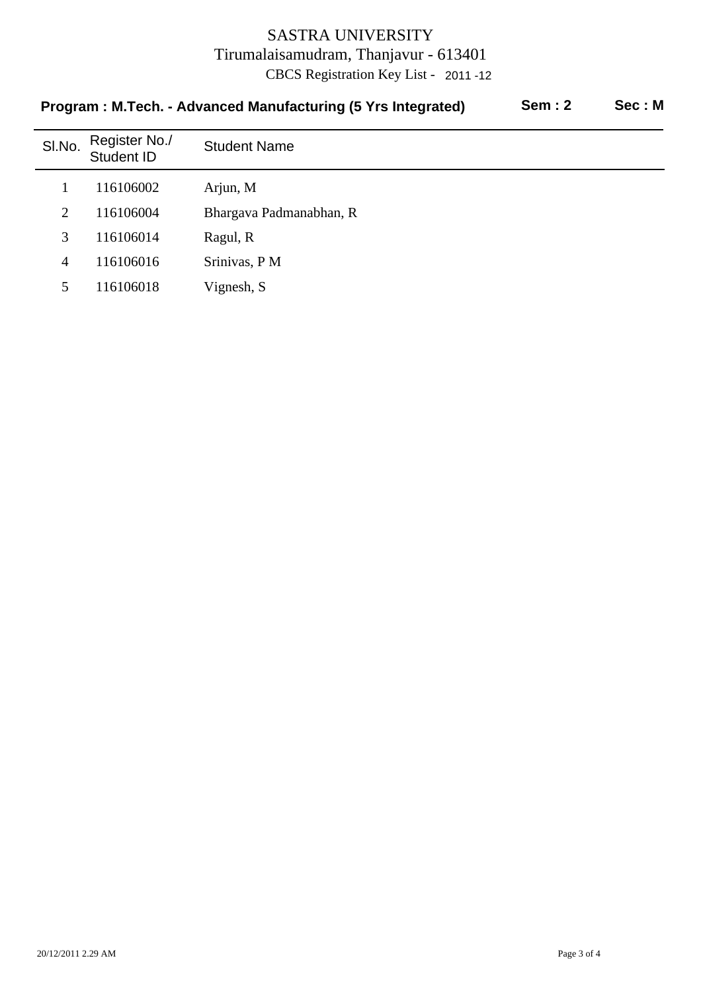| SI.No. | Register No./<br>Student ID | <b>Student Name</b>     |  |  |  |
|--------|-----------------------------|-------------------------|--|--|--|
|        | 116106002                   | Arjun, M                |  |  |  |
| 2      | 116106004                   | Bhargava Padmanabhan, R |  |  |  |
| 3      | 116106014                   | Ragul, R                |  |  |  |
| 4      | 116106016                   | Srinivas, P M           |  |  |  |
| 5      | 116106018                   | Vignesh, S              |  |  |  |

#### **Program : M.Tech. - Advanced Manufacturing (5 Yrs Integrated) Sem : 2 Sec : M**